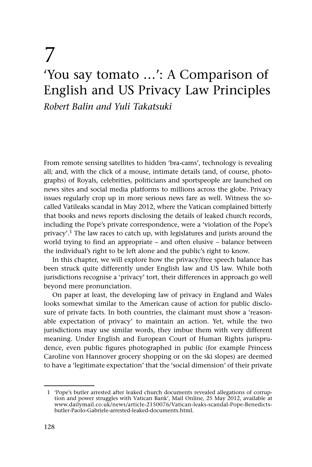# **7 'You say tomato …': A Comparison of English and US Privacy Law Principles** *Robert Balin and Yuli Takatsuki*

**From remote sensing satellites to hidden 'bra-cams', technology is revealing all; and, with the click of a mouse, intimate details (and, of course, photographs) of Royals, celebrities, politicians and sportspeople are launched on news sites and social media platforms to millions across the globe. Privacy issues regularly crop up in more serious news fare as well. Witness the socalled Vatileaks scandal in May 2012, where the Vatican complained bitterly that books and news reports disclosing the details of leaked church records, including the Pope's private correspondence, were a 'violation of the Pope's privacy'.1 The law races to catch up, with legislatures and jurists around the world trying to find an appropriate – and often elusive – balance between the individual's right to be left alone and the public's right to know.**

**In this chapter, we will explore how the privacy/free speech balance has been struck quite differently under English law and US law. While both jurisdictions recognise a 'privacy' tort, their differences in approach go well beyond mere pronunciation.**

**On paper at least, the developing law of privacy in England and Wales looks somewhat similar to the American cause of action for public disclosure of private facts. In both countries, the claimant must show a 'reasonable expectation of privacy' to maintain an action. Yet, while the two jurisdictions may use similar words, they imbue them with very different meaning. Under English and European Court of Human Rights jurisprudence, even public figures photographed in public (for example Princess Caroline von Hannover grocery shopping or on the ski slopes) are deemed to have a 'legitimate expectation' that the 'social dimension' of their private**

**<sup>1 &#</sup>x27;Pope's butler arrested after leaked church documents revealed allegations of corruption and power struggles with Vatican Bank', Mail Online, 25 May 2012, available at www.dailymail.co.uk/news/article-2150076/Vatican-leaks-scandal-Pope-Benedictsbutler-Paolo-Gabriele-arrested-leaked-documents.html.**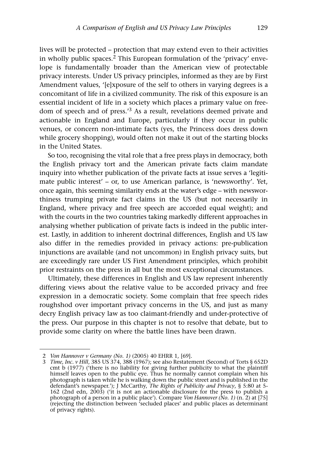**lives will be protected – protection that may extend even to their activities in wholly public spaces.2 This European formulation of the 'privacy' envelope is fundamentally broader than the American view of protectable privacy interests. Under US privacy principles, informed as they are by First Amendment values, '[e]xposure of the self to others in varying degrees is a concomitant of life in a civilized community. The risk of this exposure is an essential incident of life in a society which places a primary value on freedom of speech and of press.'3 As a result, revelations deemed private and actionable in England and Europe, particularly if they occur in public venues, or concern non-intimate facts (yes, the Princess does dress down while grocery shopping), would often not make it out of the starting blocks in the United States.**

**So too, recognising the vital role that a free press plays in democracy, both the English privacy tort and the American private facts claim mandate inquiry into whether publication of the private facts at issue serves a 'legitimate public interest' – or, to use American parlance, is 'newsworthy'. Yet, once again, this seeming similarity ends at the water's edge – with newsworthiness trumping private fact claims in the US (but not necessarily in England, where privacy and free speech are accorded equal weight); and with the courts in the two countries taking markedly different approaches in analysing whether publication of private facts is indeed in the public interest. Lastly, in addition to inherent doctrinal differences, English and US law also differ in the remedies provided in privacy actions: pre-publication injunctions are available (and not uncommon) in English privacy suits, but are exceedingly rare under US First Amendment principles, which prohibit prior restraints on the press in all but the most exceptional circumstances.**

**Ultimately, these differences in English and US law represent inherently differing views about the relative value to be accorded privacy and free expression in a democratic society. Some complain that free speech rides roughshod over important privacy concerns in the US, and just as many decry English privacy law as too claimant-friendly and under-protective of the press. Our purpose in this chapter is not to resolve that debate, but to provide some clarity on where the battle lines have been drawn.**

**<sup>2</sup>** *Von Hannover v Germany (No. 1)* **(2005) 40 EHRR 1, [69].**

**<sup>3</sup>** *Time, Inc. v Hill***, 385 US 374, 388 (1967); see also Restatement (Second) of Torts § 652D cmt b (1977) ('there is no liability for giving further publicity to what the plaintiff himself leaves open to the public eye. Thus he normally cannot complain when his photograph is taken while he is walking down the public street and is published in the defendant's newspaper.'); J McCarthy,** *The Rights of Publicity and Privacy***, § 5:80 at 5- 162 (2nd edn, 2003) ('it is not an actionable disclosure for the press to publish a photograph of a person in a public place'). Compare** *Von Hannover (No. 1)* **(n. 2) at [75] (rejecting the distinction between 'secluded places' and public places as determinant of privacy rights).**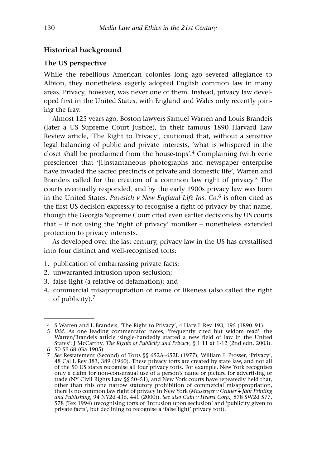# **Historical background**

## **The US perspective**

**While the rebellious American colonies long ago severed allegiance to Albion, they nonetheless eagerly adopted English common law in many areas. Privacy, however, was never one of them. Instead, privacy law developed first in the United States, with England and Wales only recently joining the fray.**

**Almost 125 years ago, Boston lawyers Samuel Warren and Louis Brandeis (later a US Supreme Court Justice), in their famous 1890 Harvard Law Review article, 'The Right to Privacy', cautioned that, without a sensitive legal balancing of public and private interests, 'what is whispered in the closet shall be proclaimed from the house-tops'.4 Complaining (with eerie prescience) that '[i]nstantaneous photographs and newspaper enterprise have invaded the sacred precincts of private and domestic life', Warren and Brandeis called for the creation of a common law right of privacy.5 The courts eventually responded, and by the early 1900s privacy law was born in the United States.** *Pavesich v New England Life Ins. Co.***<sup>6</sup> is often cited as the first US decision expressly to recognise a right of privacy by that name, though the Georgia Supreme Court cited even earlier decisions by US courts that – if not using the 'right of privacy' moniker – nonetheless extended protection to privacy interests.**

**As developed over the last century, privacy law in the US has crystallised into four distinct and well-recognised torts:**

- **1. publication of embarrassing private facts;**
- **2. unwarranted intrusion upon seclusion;**
- **3. false light (a relative of defamation); and**
- **4. commercial misappropriation of name or likeness (also called the right of publicity).<sup>7</sup>**

**<sup>4</sup> S Warren and L Brandeis, 'The Right to Privacy', 4 Harv L Rev 193, 195 (1890–91).**

**<sup>5</sup>** *Ibid.* **As one leading commentator notes, 'frequently cited but seldom read', the Warren/Brandeis article 'single-handedly started a new field of law in the United States': J McCarthy,** *The Rights of Publicity and Privacy***, § 1:11 at 1-12 (2nd edn, 2003). 6 50 SE 68 (Ga 1905).**

**<sup>7</sup>** *See* **Restatement (Second) of Torts §§ 652A–652E (1977); William L Prosser, 'Privacy', 48 Cal L Rev 383, 389 (1960). These privacy torts are created by state law, and not all of the 50 US states recognise all four privacy torts. For example, New York recognises only a claim for non-consensual use of a person's name or picture for advertising or trade (NY Civil Rights Law §§ 50–51), and New York courts have repeatedly held that, other than this one narrow statutory prohibition of commercial misappropriation, there is no common law right of privacy in New York (***Messenger v Gruner + Jahr Printing and Publishing***, 94 NY2d 436, 441 (2000)).** *See also Cain v Hearst Corp.***, 878 SW2d 577, 578 (Tex 1994) (recognising torts of 'intrusion upon seclusion' and 'publicity given to private facts', but declining to recognise a 'false light' privacy tort).**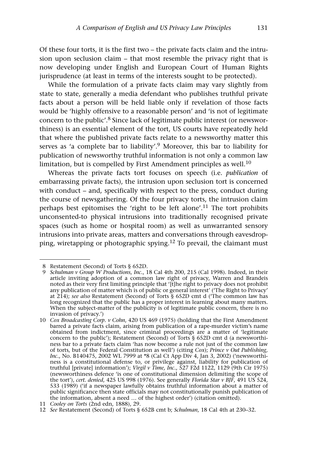**Of these four torts, it is the first two – the private facts claim and the intrusion upon seclusion claim – that most resemble the privacy right that is now developing under English and European Court of Human Rights jurisprudence (at least in terms of the interests sought to be protected).**

**While the formulation of a private facts claim may vary slightly from state to state, generally a media defendant who publishes truthful private facts about a person will be held liable only if revelation of those facts would be 'highly offensive to a reasonable person' and 'is not of legitimate concern to the public'.8 Since lack of legitimate public interest (or newsworthiness) is an essential element of the tort, US courts have repeatedly held that where the published private facts relate to a newsworthy matter this serves as 'a complete bar to liability'.9 Moreover, this bar to liability for publication of newsworthy truthful information is not only a common law limitation, but is compelled by First Amendment principles as well.10**

**Whereas the private facts tort focuses on speech (i.e.** *publication* **of embarrassing private facts), the intrusion upon seclusion tort is concerned with conduct – and, specifically with respect to the press, conduct during the course of newsgathering. Of the four privacy torts, the intrusion claim perhaps best epitomises the 'right to be left alone'.11 The tort prohibits unconsented-to physical intrusions into traditionally recognised private spaces (such as home or hospital room) as well as unwarranted sensory intrusions into private areas, matters and conversations through eavesdropping, wiretapping or photographic spying.12 To prevail, the claimant must**

**<sup>8</sup> Restatement (Second) of Torts § 652D.**

**<sup>9</sup>** *Schulman v Group W Productions, Inc.***, 18 Cal 4th 200, 215 (Cal 1998). Indeed, in their article inviting adoption of a common law right of privacy, Warren and Brandeis noted as their very first limiting principle that '[t]he right to privacy does not prohibit any publication of matter which is of public or general interest' ('The Right to Privacy' at 214);** *see also* **Restatement (Second) of Torts § 652D cmt d ('The common law has long recognized that the public has a proper interest in learning about many matters. When the subject-matter of the publicity is of legitimate public concern, there is no invasion of privacy.')**

**<sup>10</sup>** *Cox Broadcasting Corp. v Cohn***, 420 US 469 (1975) (holding that the First Amendment barred a private facts claim, arising from publication of a rape-murder victim's name obtained from indictment, since criminal proceedings are a matter of 'legitimate concern to the public'); Restatement (Second) of Torts § 652D cmt d (a newsworthiness bar to a private facts claim 'has now become a rule not just of the common law of torts, but of the Federal Constitution as well') (citing** *Cox***);** *Prince v Out Publishing, Inc.***, No. B140475, 2002 WL 7999 at \*8 (Cal Ct App Div 4, Jan 3, 2002) ('newsworthiness is a constitutional defense to, or privilege against, liability for publication of truthful [private] information');** *Virgil v Time, Inc.***, 527 F2d 1122, 1129 (9th Cir 1975) (newsworthiness defence 'is one of constitutional dimension delimiting the scope of the tort'),** *cert. denied***, 425 US 998 (1976). See generally** *Florida Star v BJF***, 491 US 524, 533 (1989) ('if a newspaper lawfully obtains truthful information about a matter of public significance then state officials may not constitutionally punish publication of the information, absent a need … of the highest order') (citation omitted).**

**<sup>11</sup>** *Cooley on Torts* **(2nd edn, 1888), 29.**

**<sup>12</sup>** *See* **Restatement (Second) of Torts § 652B cmt b;** *Schulman***, 18 Cal 4th at 230–32.**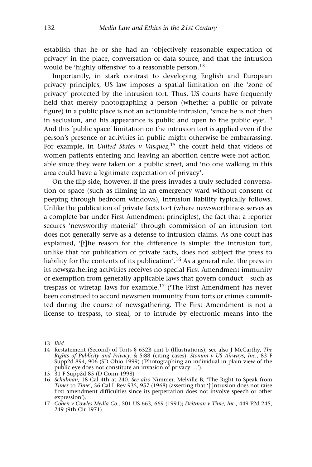**establish that he or she had an 'objectively reasonable expectation of privacy' in the place, conversation or data source, and that the intrusion would be 'highly offensive' to a reasonable person.13**

**Importantly, in stark contrast to developing English and European privacy principles, US law imposes a spatial limitation on the 'zone of privacy' protected by the intrusion tort. Thus, US courts have frequently held that merely photographing a person (whether a public or private figure) in a public place is not an actionable intrusion, 'since he is not then in seclusion, and his appearance is public and open to the public eye'.14 And this 'public space' limitation on the intrusion tort is applied even if the person's presence or activities in public might otherwise be embarrassing. For example, in** *United States v Vasquez***, <sup>15</sup> the court held that videos of women patients entering and leaving an abortion centre were not actionable since they were taken on a public street, and 'no one walking in this area could have a legitimate expectation of privacy'.**

**On the flip side, however, if the press invades a truly secluded conversation or space (such as filming in an emergency ward without consent or peeping through bedroom windows), intrusion liability typically follows. Unlike the publication of private facts tort (where newsworthiness serves as a complete bar under First Amendment principles), the fact that a reporter secures 'newsworthy material' through commission of an intrusion tort does not generally serve as a defense to intrusion claims. As one court has explained, '[t]he reason for the difference is simple: the intrusion tort, unlike that for publication of private facts, does not subject the press to liability for the contents of its publication'.16 As a general rule, the press in its newsgathering activities receives no special First Amendment immunity or exemption from generally applicable laws that govern conduct – such as trespass or wiretap laws for example.17 ('The First Amendment has never been construed to accord newsmen immunity from torts or crimes committed during the course of newsgathering. The First Amendment is not a license to trespass, to steal, or to intrude by electronic means into the**

**<sup>13</sup>** *Ibid.*

**<sup>14</sup> Restatement (Second) of Torts § 652B cmt b (Illustrations); see also J McCarthy,** *The Rights of Publicity and Privacy***, § 5:88 (citing cases);** *Stonum v US Airways***,** *Inc.***, 83 F Supp2d 894, 906 (SD Ohio 1999) ('Photographing an individual in plain view of the public eye does not constitute an invasion of privacy …').**

**<sup>15 31</sup> F Supp2d 85 (D Conn 1998)**

**<sup>16</sup>** *Schulman***, 18 Cal 4th at 240.** *See also* **Nimmer, Melville B, 'The Right to Speak from** *Times* **to** *Time***', 56 Cal L Rev 935, 957 (1968) (asserting that '[i]ntrusion does not raise first amendment difficulties since its perpetration does not involve speech or other expression').**

**<sup>17</sup>** *Cohen v Cowles Media Co.***, 501 US 663, 669 (1991);** *Deitman v Time, Inc***., 449 F2d 245, 249 (9th Cir 1971).**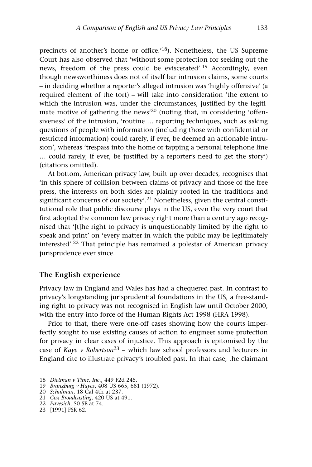**precincts of another's home or office.'18). Nonetheless, the US Supreme Court has also observed that 'without some protection for seeking out the news, freedom of the press could be eviscerated'.19 Accordingly, even though newsworthiness does not of itself bar intrusion claims, some courts – in deciding whether a reporter's alleged intrusion was 'highly offensive' (a required element of the tort) – will take into consideration 'the extent to which the intrusion was, under the circumstances, justified by the legitimate motive of gathering the news'20 (noting that, in considering 'offensiveness' of the intrusion, 'routine … reporting techniques, such as asking questions of people with information (including those with confidential or restricted information) could rarely, if ever, be deemed an actionable intrusion', whereas 'trespass into the home or tapping a personal telephone line … could rarely, if ever, be justified by a reporter's need to get the story') (citations omitted).**

**At bottom, American privacy law, built up over decades, recognises that 'in this sphere of collision between claims of privacy and those of the free press, the interests on both sides are plainly rooted in the traditions and significant concerns of our society'.21 Nonetheless, given the central constitutional role that public discourse plays in the US, even the very court that first adopted the common law privacy right more than a century ago recognised that '[t]he right to privacy is unquestionably limited by the right to speak and print' on 'every matter in which the public may be legitimately interested'.<sup>22</sup> That principle has remained a polestar of American privacy jurisprudence ever since.**

### **The English experience**

**Privacy law in England and Wales has had a chequered past. In contrast to privacy's longstanding jurisprudential foundations in the US, a free-standing right to privacy was not recognised in English law until October 2000, with the entry into force of the Human Rights Act 1998 (HRA 1998).**

**Prior to that, there were one-off cases showing how the courts imperfectly sought to use existing causes of action to engineer some protection for privacy in clear cases of injustice. This approach is epitomised by the case of** *Kaye v Robertson***<sup>23</sup> – which law school professors and lecturers in England cite to illustrate privacy's troubled past. In that case, the claimant**

**<sup>18</sup>** *Dietman v Time, Inc.***, 449 F2d 245.**

**<sup>19</sup>** *Branzburg v Hayes***, 408 US 665, 681 (1972).**

**<sup>20</sup>** *Schulman***, 18 Cal 4th at 237.**

**<sup>21</sup>** *Cox Broadcasting***, 420 US at 491.**

**<sup>22</sup>** *Pavesich***, 50 SE at 74.**

**<sup>23 [1991]</sup> FSR 62.**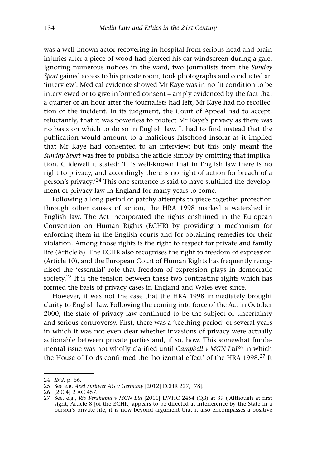**was a well-known actor recovering in hospital from serious head and brain injuries after a piece of wood had pierced his car windscreen during a gale. Ignoring numerous notices in the ward, two journalists from the** *Sunday Sport* **gained access to his private room, took photographs and conducted an 'interview'. Medical evidence showed Mr Kaye was in no fit condition to be interviewed or to give informed consent – amply evidenced by the fact that a quarter of an hour after the journalists had left, Mr Kaye had no recollection of the incident. In its judgment, the Court of Appeal had to accept, reluctantly, that it was powerless to protect Mr Kaye's privacy as there was no basis on which to do so in English law. It had to find instead that the publication would amount to a malicious falsehood insofar as it implied that Mr Kaye had consented to an interview; but this only meant the** *Sunday Sport* **was free to publish the article simply by omitting that implication. Glidewell LJ stated: 'It is well-known that in English law there is no right to privacy, and accordingly there is no right of action for breach of a person's privacy.'24 This one sentence is said to have stultified the development of privacy law in England for many years to come.**

**Following a long period of patchy attempts to piece together protection through other causes of action, the HRA 1998 marked a watershed in English law. The Act incorporated the rights enshrined in the European Convention on Human Rights (ECHR) by providing a mechanism for enforcing them in the English courts and for obtaining remedies for their violation. Among those rights is the right to respect for private and family life (Article 8). The ECHR also recognises the right to freedom of expression (Article 10), and the European Court of Human Rights has frequently recognised the 'essential' role that freedom of expression plays in democratic society.25 It is the tension between these two contrasting rights which has formed the basis of privacy cases in England and Wales ever since.**

**However, it was not the case that the HRA 1998 immediately brought clarity to English law. Following the coming into force of the Act in October 2000, the state of privacy law continued to be the subject of uncertainty and serious controversy. First, there was a 'teething period' of several years in which it was not even clear whether invasions of privacy were actually actionable between private parties and, if so, how. This somewhat fundamental issue was not wholly clarified until** *Campbell v MGN Ltd***<sup>26</sup> in which the House of Lords confirmed the 'horizontal effect' of the HRA 1998.27 It**

**<sup>24</sup>** *Ibid.* **p. 66.**

**<sup>25</sup> See e.g.** *Axel Springer AG v Germany* **[2012] ECHR 227, [78].**

**<sup>26 [2004] 2</sup> AC 457.**

**<sup>27</sup> See, e.g.,** *Rio Ferdinand v MGN Ltd* **[2011] EWHC 2454 (QB) at 39 ('Although at first sight, Article 8 [of the ECHR] appears to be directed at interference by the State in a person's private life, it is now beyond argument that it also encompasses a positive**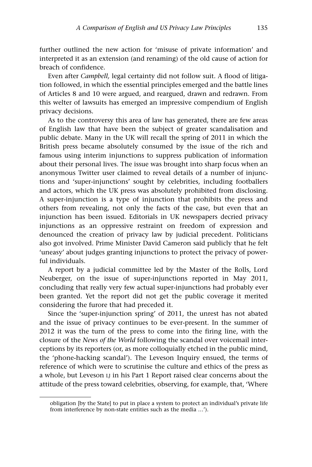**further outlined the new action for 'misuse of private information' and interpreted it as an extension (and renaming) of the old cause of action for breach of confidence.**

**Even after** *Campbell,* **legal certainty did not follow suit. A flood of litigation followed, in which the essential principles emerged and the battle lines of Articles 8 and 10 were argued, and reargued, drawn and redrawn. From this welter of lawsuits has emerged an impressive compendium of English privacy decisions.**

**As to the controversy this area of law has generated, there are few areas of English law that have been the subject of greater scandalisation and public debate. Many in the UK will recall the spring of 2011 in which the British press became absolutely consumed by the issue of the rich and famous using interim injunctions to suppress publication of information about their personal lives. The issue was brought into sharp focus when an anonymous Twitter user claimed to reveal details of a number of injunctions and 'super-injunctions' sought by celebrities, including footballers and actors, which the UK press was absolutely prohibited from disclosing. A super-injunction is a type of injunction that prohibits the press and others from revealing, not only the facts of the case, but even that an injunction has been issued. Editorials in UK newspapers decried privacy injunctions as an oppressive restraint on freedom of expression and denounced the creation of privacy law by judicial precedent. Politicians also got involved. Prime Minister David Cameron said publicly that he felt 'uneasy' about judges granting injunctions to protect the privacy of powerful individuals.**

**A report by a judicial committee led by the Master of the Rolls, Lord Neuberger, on the issue of super-injunctions reported in May 2011, concluding that really very few actual super-injunctions had probably ever been granted. Yet the report did not get the public coverage it merited considering the furore that had preceded it.**

**Since the 'super-injunction spring' of 2011, the unrest has not abated and the issue of privacy continues to be ever-present. In the summer of 2012 it was the turn of the press to come into the firing line, with the closure of the** *News of the World* **following the scandal over voicemail interceptions by its reporters (or, as more colloquially etched in the public mind, the 'phone-hacking scandal'). The Leveson Inquiry ensued, the terms of reference of which were to scrutinise the culture and ethics of the press as a whole, but Leveson LJ in his Part 1 Report raised clear concerns about the attitude of the press toward celebrities, observing, for example, that, 'Where**

**obligation [by the State] to put in place a system to protect an individual's private life from interference by non-state entities such as the media …').**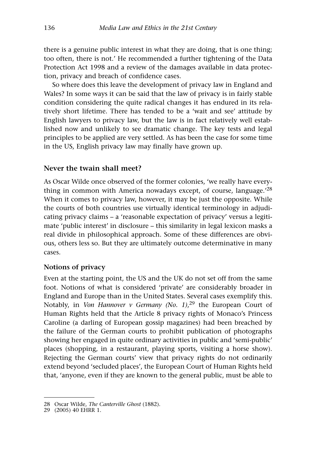**there is a genuine public interest in what they are doing, that is one thing; too often, there is not.' He recommended a further tightening of the Data Protection Act 1998 and a review of the damages available in data protection, privacy and breach of confidence cases.**

**So where does this leave the development of privacy law in England and Wales? In some ways it can be said that the law of privacy is in fairly stable condition considering the quite radical changes it has endured in its relatively short lifetime. There has tended to be a 'wait and see' attitude by English lawyers to privacy law, but the law is in fact relatively well established now and unlikely to see dramatic change. The key tests and legal principles to be applied are very settled. As has been the case for some time in the US, English privacy law may finally have grown up.**

## **Never the twain shall meet?**

**As Oscar Wilde once observed of the former colonies, 'we really have everything in common with America nowadays except, of course, language.'28 When it comes to privacy law, however, it may be just the opposite. While the courts of both countries use virtually identical terminology in adjudicating privacy claims – a 'reasonable expectation of privacy' versus a legitimate 'public interest' in disclosure – this similarity in legal lexicon masks a real divide in philosophical approach. Some of these differences are obvious, others less so. But they are ultimately outcome determinative in many cases.**

# **Notions of privacy**

**Even at the starting point, the US and the UK do not set off from the same foot. Notions of what is considered 'private' are considerably broader in England and Europe than in the United States. Several cases exemplify this. Notably, in** *Von Hannover v Germany (No. 1)***, <sup>29</sup> the European Court of Human Rights held that the Article 8 privacy rights of Monaco's Princess Caroline (a darling of European gossip magazines) had been breached by the failure of the German courts to prohibit publication of photographs showing her engaged in quite ordinary activities in public and 'semi-public' places (shopping, in a restaurant, playing sports, visiting a horse show). Rejecting the German courts' view that privacy rights do not ordinarily extend beyond 'secluded places', the European Court of Human Rights held that, 'anyone, even if they are known to the general public, must be able to**

**<sup>28</sup> Oscar Wilde,** *The Canterville Ghost* **(1882).**

**<sup>29 (2005) 40</sup> EHRR 1.**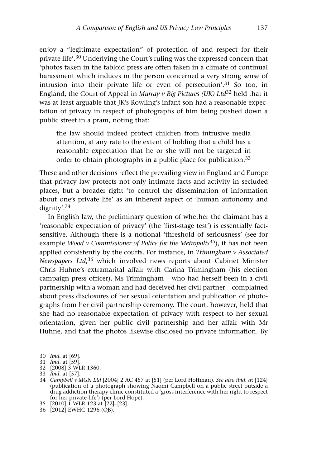**enjoy a "legitimate expectation" of protection of and respect for their private life'.<sup>30</sup> Underlying the Court's ruling was the expressed concern that 'photos taken in the tabloid press are often taken in a climate of continual harassment which induces in the person concerned a very strong sense of intrusion into their private life or even of persecution'.31 So too, in England, the Court of Appeal in** *Murray v Big Pictures (UK) Ltd***<sup>32</sup> held that it was at least arguable that JK's Rowling's infant son had a reasonable expectation of privacy in respect of photographs of him being pushed down a public street in a pram, noting that:**

**the law should indeed protect children from intrusive media attention, at any rate to the extent of holding that a child has a reasonable expectation that he or she will not be targeted in order to obtain photographs in a public place for publication.33**

**These and other decisions reflect the prevailing view in England and Europe that privacy law protects not only intimate facts and activity in secluded places, but a broader right 'to control the dissemination of information about one's private life' as an inherent aspect of 'human autonomy and dignity'.<sup>34</sup>**

**In English law, the preliminary question of whether the claimant has a 'reasonable expectation of privacy' (the 'first-stage test') is essentially factsensitive. Although there is a notional 'threshold of seriousness' (see for example** *Wood v Commissioner of Police for the Metropolis***35), it has not been applied consistently by the courts. For instance, in** *Trimingham v Associated Newspapers Ltd***, <sup>36</sup> which involved news reports about Cabinet Minister Chris Huhne's extramarital affair with Carina Trimingham (his election campaign press officer), Ms Trimingham – who had herself been in a civil partnership with a woman and had deceived her civil partner – complained about press disclosures of her sexual orientation and publication of photographs from her civil partnership ceremony. The court, however, held that she had no reasonable expectation of privacy with respect to her sexual orientation, given her public civil partnership and her affair with Mr Huhne, and that the photos likewise disclosed no private information. By**

**35 [2010] 1 WLR 123 at [22]–[23].**

**<sup>30</sup>** *Ibid.* **at [69].**

**<sup>31</sup>** *Ibid.* **at [59].**

**<sup>32</sup> [2008] 3 WLR 1360.**

**<sup>33</sup>** *Ibid.* **at [57].**

**<sup>34</sup>** *Campbell v MGN Ltd* **[2004] 2 AC 457 at [51] (per Lord Hoffman).** *See also ibid. a***t [124] (publication of a photograph showing Naomi Campbell on a public street outside a drug addiction therapy clinic constituted a 'gross interference with her right to respect for her private life') (per Lord Hope).**

**<sup>36 [2012]</sup> EWHC 1296 (QB).**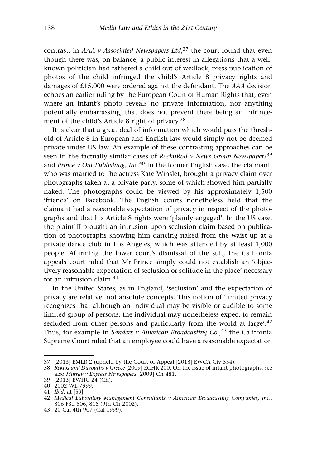**contrast, in** *AAA v Associated Newspapers Ltd***, <sup>37</sup> the court found that even though there was, on balance, a public interest in allegations that a wellknown politician had fathered a child out of wedlock, press publication of photos of the child infringed the child's Article 8 privacy rights and damages of £15,000 were ordered against the defendant. The** *AAA* **decision echoes an earlier ruling by the European Court of Human Rights that, even where an infant's photo reveals no private information, nor anything potentially embarrassing, that does not prevent there being an infringement of the child's Article 8 right of privacy.38**

**It is clear that a great deal of information which would pass the threshold of Article 8 in European and English law would simply not be deemed private under US law. An example of these contrasting approaches can be seen in the factually similar cases of** *RocknRoll v News Group Newspapers***<sup>39</sup> and** *Prince v Out Publishing, Inc***. <sup>40</sup> In the former English case, the claimant, who was married to the actress Kate Winslet, brought a privacy claim over photographs taken at a private party, some of which showed him partially naked. The photographs could be viewed by his approximately 1,500 'friends' on Facebook. The English courts nonetheless held that the claimant had a reasonable expectation of privacy in respect of the photographs and that his Article 8 rights were 'plainly engaged'. In the US case, the plaintiff brought an intrusion upon seclusion claim based on publication of photographs showing him dancing naked from the waist up at a private dance club in Los Angeles, which was attended by at least 1,000 people. Affirming the lower court's dismissal of the suit, the California appeals court ruled that Mr Prince simply could not establish an 'objectively reasonable expectation of seclusion or solitude in the place' necessary for an intrusion claim.<sup>41</sup>**

**In the United States, as in England, 'seclusion' and the expectation of privacy are relative, not absolute concepts. This notion of 'limited privacy recognizes that although an individual may be visible or audible to some limited group of persons, the individual may nonetheless expect to remain secluded from other persons and particularly from the world at large'.<sup>42</sup> Thus, for example in** *Sanders v American Broadcasting Co.***, <sup>43</sup> the California Supreme Court ruled that an employee could have a reasonable expectation**

**<sup>37</sup> [2013] EMLR 2 (upheld by the Court of Appeal [2013] EWCA Civ 554).**

**<sup>38</sup>** *Reklos and Davourlis v Greece* **[2009] ECHR 200. On the issue of infant photographs, see also** *Murray v Express Newspapers* **[2009] Ch 481.**

**<sup>39 [2013]</sup> EWHC 24 (Ch).**

**<sup>40</sup> 2002 WL 7999.**

**<sup>41</sup>** *Ibid.* **at [59].**

**<sup>42</sup>** *Medical Laboratory Management Consultants v American Broadcasting Companies, Inc.***, 306 F3d 806, 815 (9th Cir 2002).**

**<sup>43 20</sup> Cal 4th 907 (Cal 1999).**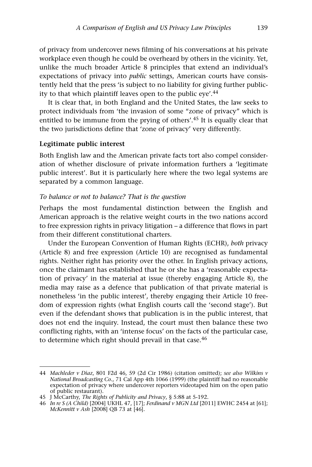**of privacy from undercover news filming of his conversations at his private workplace even though he could be overheard by others in the vicinity. Yet, unlike the much broader Article 8 principles that extend an individual's expectations of privacy into** *public* **settings, American courts have consistently held that the press 'is subject to no liability for giving further publicity to that which plaintiff leaves open to the public eye'.44**

**It is clear that, in both England and the United States, the law seeks to protect individuals from 'the invasion of some "zone of privacy" which is entitled to be immune from the prying of others'.45 It is equally clear that the two jurisdictions define that 'zone of privacy' very differently.**

#### **Legitimate public interest**

**Both English law and the American private facts tort also compel consideration of whether disclosure of private information furthers a 'legitimate public interest'. But it is particularly here where the two legal systems are separated by a common language.**

#### *To balance or not to balance? That is the question*

**Perhaps the most fundamental distinction between the English and American approach is the relative weight courts in the two nations accord to free expression rights in privacy litigation – a difference that flows in part from their different constitutional charters.**

**Under the European Convention of Human Rights (ECHR),** *both* **privacy (Article 8) and free expression (Article 10) are recognised as fundamental rights. Neither right has priority over the other. In English privacy actions, once the claimant has established that he or she has a 'reasonable expectation of privacy' in the material at issue (thereby engaging Article 8), the media may raise as a defence that publication of that private material is nonetheless 'in the public interest', thereby engaging their Article 10 freedom of expression rights (what English courts call the 'second stage'). But even if the defendant shows that publication is in the public interest, that does not end the inquiry. Instead, the court must then balance these two conflicting rights, with an 'intense focus' on the facts of the particular case, to determine which right should prevail in that case.46**

**<sup>44</sup>** *Machleder v Diaz***, 801 F2d 46, 59 (2d Cir 1986) (citation omitted);** *see also Wilkins v National Broadcasting Co.***, 71 Cal App 4th 1066 (1999) (the plaintiff had no reasonable expectation of privacy where undercover reporters videotaped him on the open patio of public restaurant).**

**<sup>45</sup> J McCarthy,** *The Rights of Publicity and Privacy***, § 5:88 at 5-192.**

**<sup>46</sup>** *In re S (A Child)* **[2004] UKHL 47, [17];** *Ferdinand v MGN Ltd* **[2011] EWHC 2454 at [61];** *McKennitt v Ash* **[2008] QB 73 at [46].**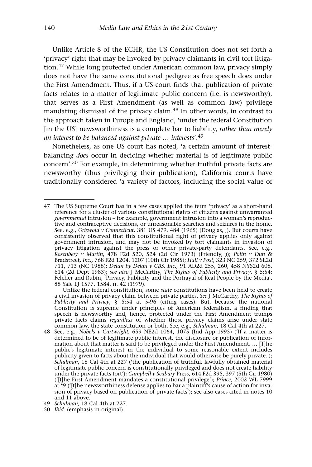**Unlike Article 8 of the ECHR, the US Constitution does not set forth a 'privacy' right that may be invoked by privacy claimants in civil tort litigation.<sup>47</sup> While long protected under American common law, privacy simply does not have the same constitutional pedigree as free speech does under the First Amendment. Thus, if a US court finds that publication of private facts relates to a matter of legitimate public concern (i.e. is newsworthy), that serves as a First Amendment (as well as common law) privilege mandating dismissal of the privacy claim.48 In other words, in contrast to the approach taken in Europe and England, 'under the federal Constitution [in the US] newsworthiness is a complete bar to liability,** *rather than merely an interest to be balanced against private … interests***'***.* **49**

**Nonetheless, as one US court has noted, 'a certain amount of interestbalancing** *does* **occur in deciding whether material is of legitimate public concern'.<sup>50</sup> For example, in determining whether truthful private facts are newsworthy (thus privileging their publication), California courts have traditionally considered 'a variety of factors, including the social value of**

**Unlike the federal constitution, some** *state* **constitutions have been held to create a civil invasion of privacy claim between private parties.** *See* **J McCarthy,** *The Rights of Publicity and Privacy***, § 5:54 at 5-96 (citing cases). But, because the national Constitution is supreme under principles of American federalism, a finding that speech is newsworthy and, hence, protected under the First Amendment trumps private facts claims** *regardless* **of whether those privacy claims arise under state common law, the state constitution or both. See, e.g.,** *Schulman***, 18 Cal 4th at 227.**

**<sup>47</sup> The US Supreme Court has in a few cases applied the term 'privacy' as a short-hand reference for a cluster of various constitutional rights of citizens against unwarranted** *governmental* **intrusion – for example, government intrusion into a woman's reproductive and contraceptive decisions, or unreasonable searches and seizures in the home. See, e.g.,** *Griswold v Connecticut***, 381 US 479, 484 (1965) (Douglas, J). But courts have consistently observed that this constitutional right of privacy applies only against government intrusion, and may not be invoked by tort claimants in invasion of privacy litigation against the press or other private-party defendants. See, e.g.,** *Rosenberg v Martin***, 478 F2d 520, 524 (2d Cir 1973) (Friendly, J);** *Polin v Dun &* **Bradstreet***, Inc.,* **768 F2d 1204, 1207 (10th Cir 1985);** *Hall v Post***, 323 NC 259, 372 SE2d 711, 713 (NC 1988);** *Delan by Delan v CBS, Inc.***, 91 AD2d 255, 260, 458 NYS2d 608, 614 (2d Dept 1983);** *see also* **J McCarthy,** *The Rights of Publicity and Privacy***, § 5:54; Felcher and Rubin, 'Privacy, Publicity and the Portrayal of Real People by the Media', 88 Yale LJ 1577, 1584, n. 42 (1979).**

**<sup>48</sup> See, e.g.,** *Nobels v Cartwright,* **659 NE2d 1064, 1075 (Ind App 1995) ('If a matter is determined to be of legitimate public interest, the disclosure or publication of information about that matter is said to be privileged under the First Amendment. … [T]he public's legitimate interest in the individual to some reasonable extent includes publicity given to facts about the individual that would otherwise be purely private.');** *Schulman***, 18 Cal 4th at 227 ('the publication of truthful, lawfully obtained material of legitimate public concern is constitutionally privileged and does not create liability under the private facts tort');** *Campbell v Seabury* **Press, 614 F2d 395, 397 (5th Cir 1980) ('[t]he First Amendment mandates a constitutional privilege');** *Prince,* **2002 WL 7999** at \*9 ('[t]he newsworthiness defense applies to bar a plaintiff's cause of action for inva**sion of privacy based on publication of private facts'); see also cases cited in notes 10 and 11 above.**

**<sup>49</sup>** *Schulman***, 18 Cal 4th at 227.**

**<sup>50</sup>** *Ibid.* **(emphasis in original).**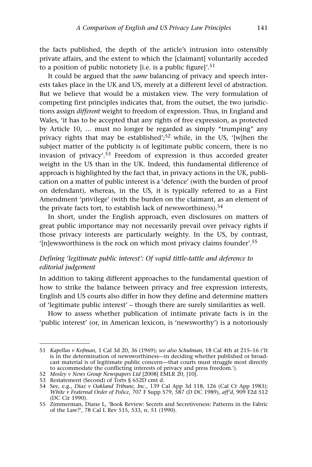**the facts published, the depth of the article's intrusion into ostensibly private affairs, and the extent to which the [claimant] voluntarily acceded to a position of public notoriety [i.e. is a public figure]'.51**

**It could be argued that the** *same* **balancing of privacy and speech interests takes place in the UK and US, merely at a different level of abstraction. But we believe that would be a mistaken view. The very formulation of competing first principles indicates that, from the outset, the two jurisdictions assign** *different* **weight to freedom of expression. Thus, in England and Wales, 'it has to be accepted that any rights of free expression, as protected by Article 10, … must no longer be regarded as simply "trumping" any privacy rights that may be established';52 while, in the US, '[w]hen the subject matter of the publicity is of legitimate public concern, there is no invasion of privacy'.53 Freedom of expression is thus accorded greater weight in the US than in the UK. Indeed, this fundamental difference of approach is highlighted by the fact that, in privacy actions in the UK, publication on a matter of public interest is a 'defence' (with the burden of proof on defendant), whereas, in the US, it is typically referred to as a First Amendment 'privilege' (with the burden on the claimant, as an element of the private facts tort, to establish lack of newsworthiness).54**

**In short, under the English approach, even disclosures on matters of great public importance may not necessarily prevail over privacy rights if those privacy interests are particularly weighty. In the US, by contrast, '[n]ewsworthiness is the rock on which most privacy claims founder'.55**

# *Defining 'legitimate public interest': Of vapid tittle-tattle and deference to editorial judgement*

**In addition to taking different approaches to the fundamental question of how to strike the balance between privacy and free expression interests, English and US courts also differ in how they define and determine matters of 'legitimate public interest' – though there are surely similarities as well.**

**How to assess whether publication of intimate private facts is in the 'public interest' (or, in American lexicon, is 'newsworthy') is a notoriously**

**<sup>51</sup>** *Kapellas v Kofman***, 1 Cal 3d 20, 36 (1969);** *see also Schulman***, 18 Cal 4th at 215–16 ('It is in the determination of newsworthiness—in deciding whether published or broadcast material is of legitimate public concern—that courts must struggle most directly to accommodate the conflicting interests of privacy and press freedom.').**

**<sup>52</sup>** *Mosley v News Group Newspapers Ltd* **[2008] EMLR 20, [10].**

**<sup>53</sup> Restatement (Second) of Torts § 652D cmt d.**

**<sup>54</sup> See, e.g.,** *Diaz v Oakland Tribune, Inc.***, 139 Cal App 3d 118, 126 (Cal Ct App 1983);** *White v Fraternal Order of Police***, 707 F Supp 579, 587 (D DC 1989),** *aff'd***, 909 F2d 512 (DC Cir 1990).**

**<sup>55</sup> Zimmerman, Diane L, 'Book Review: Secrets and Secretiveness: Patterns in the Fabric of the Law?', 78 Cal L Rev 515, 533, n. 51 (1990).**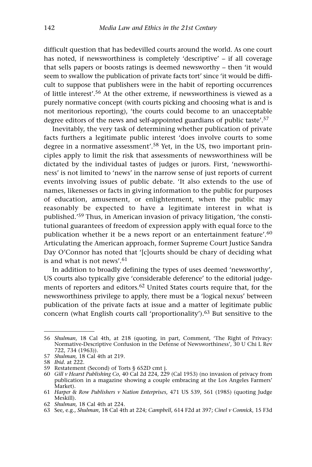**difficult question that has bedevilled courts around the world. As one court has noted, if newsworthiness is completely 'descriptive' – if all coverage that sells papers or boosts ratings is deemed newsworthy – then 'it would seem to swallow the publication of private facts tort' since 'it would be difficult to suppose that publishers were in the habit of reporting occurrences of little interest'.56 At the other extreme, if newsworthiness is viewed as a purely normative concept (with courts picking and choosing what is and is not meritorious reporting), 'the courts could become to an unacceptable degree editors of the news and self-appointed guardians of public taste'.57**

**Inevitably, the very task of determining whether publication of private facts furthers a legitimate public interest 'does involve courts to some degree in a normative assessment'.<sup>58</sup> Yet, in the US, two important principles apply to limit the risk that assessments of newsworthiness will be dictated by the individual tastes of judges or jurors. First, 'newsworthiness' is not limited to 'news' in the narrow sense of just reports of current events involving issues of public debate. 'It also extends to the use of names, likenesses or facts in giving information to the public for purposes of education, amusement, or enlightenment, when the public may reasonably be expected to have a legitimate interest in what is published.'<sup>59</sup> Thus, in American invasion of privacy litigation, 'the constitutional guarantees of freedom of expression apply with equal force to the publication whether it be a news report or an entertainment feature'.<sup>60</sup> Articulating the American approach, former Supreme Court Justice Sandra Day O'Connor has noted that '[c]ourts should be chary of deciding what is and what is not news'.<sup>61</sup>**

**In addition to broadly defining the types of uses deemed 'newsworthy', US courts also typically give 'considerable deference' to the editorial judgements of reporters and editors.62 United States courts require that, for the newsworthiness privilege to apply, there must be a 'logical nexus' between publication of the private facts at issue and a matter of legitimate public concern (what English courts call 'proportionality').63 But sensitive to the**

**<sup>56</sup>** *Shulman***, 18 Cal 4th, at 218 (quoting, in part, Comment, 'The Right of Privacy: Normative-Descriptive Confusion in the Defense of Newsworthiness', 30 U Chi L Rev 722, 734 (1963)).**

**<sup>57</sup>** *Shulman,* **18 Cal 4th at 219.**

**<sup>58</sup>** *Ibid.* **at 222.**

**<sup>59</sup> Restatement (Second) of Torts § 652D cmt j.**

**<sup>60</sup>** *Gill v Hearst Publishing Co***, 40 Cal 2d 224, 229 (Cal 1953) (no invasion of privacy from publication in a magazine showing a couple embracing at the Los Angeles Farmers' Market).**

**<sup>61</sup>** *Harper & Row Publishers v Nation Enterprises***, 471 US 539, 561 (1985) (quoting Judge Meskill).**

**<sup>62</sup>** *Shulman,* **18 Cal 4th at 224.**

**<sup>63</sup> See, e.g.,** *Shulman***, 18 Cal 4th at 224;** *Campbell,* **614 F2d at 397;** *Cinel v Connick***, 15 F3d**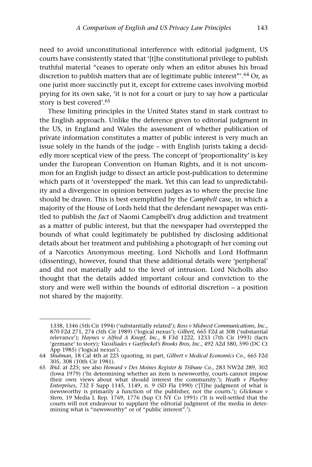**need to avoid unconstitutional interference with editorial judgment, US courts have consistently stated that '[t]he constitutional privilege to publish truthful material "ceases to operate only when an editor abuses his broad discretion to publish matters that are of legitimate public interest"'.64 Or, as one jurist more succinctly put it, except for extreme cases involving morbid prying for its own sake, 'it is not for a court or jury to say how a particular story is best covered'.65**

**These limiting principles in the United States stand in stark contrast to the English approach. Unlike the deference given to editorial judgment in the US, in England and Wales the assessment of whether publication of private information constitutes a matter of public interest is very much an issue solely in the hands of the judge – with English jurists taking a decidedly more sceptical view of the press. The concept of 'proportionality' is key under the European Convention on Human Rights, and it is not uncommon for an English judge to dissect an article post-publication to determine which parts of it 'overstepped' the mark. Yet this can lead to unpredictability and a divergence in opinion between judges as to where the precise line should be drawn. This is best exemplified by the** *Campbell* **case, in which a majority of the House of Lords held that the defendant newspaper was entitled to publish the** *fact* **of Naomi Campbell's drug addiction and treatment as a matter of public interest, but that the newspaper had overstepped the bounds of what could legitimately be published by disclosing additional details about her treatment and publishing a photograph of her coming out of a Narcotics Anonymous meeting. Lord Nicholls and Lord Hoffmann (dissenting), however, found that these additional details were 'peripheral' and did not materially add to the level of intrusion. Lord Nicholls also thought that the details added important colour and conviction to the story and were well within the bounds of editorial discretion – a position not shared by the majority.**

**<sup>1338, 1346 (5</sup>th Cir 1994) ('substantially related');** *Ross v Midwest Communications, Inc.***, 870 F2d 271, 274 (5th Cir 1989) ('logical nexus');** *Gilbert,* **665 F2d at 308 ('substantial relevance');** *Haynes v Alfred A Knopf, Inc.***, 8 F3d 1222, 1233 (7th Cir 1993) (facts 'germane' to story);** *Vassiliades v Garfinckel's Brooks Bros, Inc.***, 492 A2d 580, 590 (DC Ct App 1985) ('logical nexus').**

**<sup>64</sup>** *Shulman***, 18 Cal 4th at 225 (quoting, in part,** *Gilbert v Medical Economics Co.***, 665 F2d 305, 308 (10th Cir 1981).**

**<sup>65</sup>** *Ibid.* **at 225; see also** *Howard v Des Moines Register & Tribune Co.***, 283 NW2d 289, 302 (Iowa 1979) ('In determining whether an item is newsworthy, courts cannot impose their own views about what should interest the community.');** *Heath v Playboy Enterprises***, 732 F Supp 1145, 1149, n. 9 (SD Fla 1990) ('[T]he judgment of what is newsworthy is primarily a function of the publisher, not the courts.');** *Glickman v Stern***, 19 Media L Rep. 1769, 1776 (Sup Ct NY Co 1991) ('It is well-settled that the courts will not endeavour to supplant the editorial judgment of the media in determining what is "newsworthy" or of "public interest".').**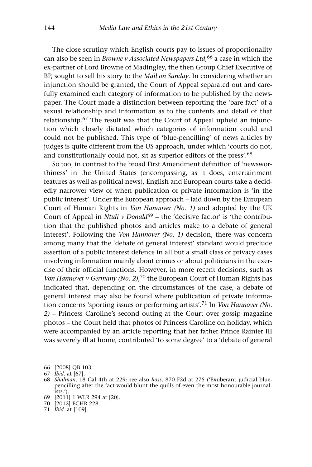**The close scrutiny which English courts pay to issues of proportionality can also be seen in** *Browne v Associated Newspapers Ltd***, <sup>66</sup> a case in which the ex-partner of Lord Browne of Madingley, the then Group Chief Executive of BP, sought to sell his story to the** *Mail on Sunday***. In considering whether an injunction should be granted, the Court of Appeal separated out and carefully examined each category of information to be published by the newspaper. The Court made a distinction between reporting the 'bare fact' of a sexual relationship and information as to the contents and detail of that relationship.67 The result was that the Court of Appeal upheld an injunction which closely dictated which categories of information could and could not be published. This type of 'blue-pencilling' of news articles by judges is quite different from the US approach, under which 'courts do not, and constitutionally could not, sit as superior editors of the press'.68**

**So too, in contrast to the broad First Amendment definition of 'newsworthiness' in the United States (encompassing, as it does, entertainment features as well as political news), English and European courts take a decidedly narrower view of when publication of private information is 'in the public interest'. Under the European approach – laid down by the European Court of Human Rights in** *Von Hannover (No. 1)* **and adopted by the UK Court of Appeal in** *Ntuli v Donald***<sup>69</sup> – the 'decisive factor' is 'the contribution that the published photos and articles make to a debate of general interest'. Following the** *Von Hannover (No. 1)* **decision, there was concern among many that the 'debate of general interest' standard would preclude assertion of a public interest defence in all but a small class of privacy cases involving information mainly about crimes or about politicians in the exercise of their official functions. However, in more recent decisions, such as** *Von Hannover v Germany (No. 2)***, <sup>70</sup> the European Court of Human Rights has indicated that, depending on the circumstances of the case, a debate of general interest may also be found where publication of private information concerns 'sporting issues or performing artists'.71 In** *Von Hannover (No. 2)* **– Princess Caroline's second outing at the Court over gossip magazine photos – the Court held that photos of Princess Caroline on holiday, which were accompanied by an article reporting that her father Prince Rainier III was severely ill at home, contributed 'to some degree' to a 'debate of general**

**<sup>66</sup> [2008] QB 103.**

**<sup>67</sup>** *Ibid.* **at [67].**

**<sup>68</sup>** *Shulman***, 18 Cal 4th at 229***;* **see also** *Ross,* **870 F2d at 275 ('Exuberant judicial bluepencilling after-the-fact would blunt the quills of even the most honourable journalists.').**

**<sup>69 [2011] 1</sup> WLR 294 at [20].**

**<sup>70 [2012]</sup> ECHR 228.**

**<sup>71</sup>** *Ibid***. at [109].**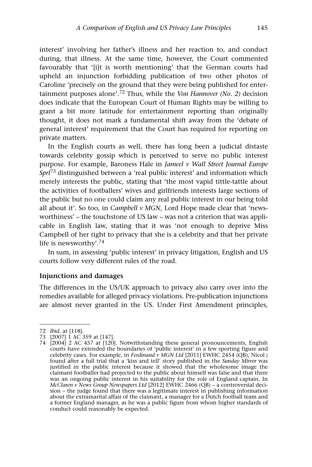**interest' involving her father's illness and her reaction to, and conduct during, that illness. At the same time, however, the Court commented favourably that '[i]t is worth mentioning' that the German courts had upheld an injunction forbidding publication of two other photos of Caroline 'precisely on the ground that they were being published for entertainment purposes alone'.72 Thus, while the** *Von Hannover (No. 2)* **decision does indicate that the European Court of Human Rights may be willing to grant a bit more latitude for entertainment reporting than originally thought, it does not mark a fundamental shift away from the 'debate of general interest' requirement that the Court has required for reporting on private matters.**

**In the English courts as well, there has long been a judicial distaste towards celebrity gossip which is perceived to serve no public interest purpose. For example, Baroness Hale in** *Jameel v Wall Street Journal Europe Sprl***<sup>73</sup> distinguished between a 'real public interest' and information which merely interests the public, stating that 'the most vapid tittle-tattle about the activities of footballers' wives and girlfriends interests large sections of the public but no one could claim any real public interest in our being told all about it'. So too, in** *Campbell v MGN***, Lord Hope made clear that 'newsworthiness' – the touchstone of US law – was not a criterion that was applicable in English law, stating that it was 'not enough to deprive Miss Campbell of her right to privacy that she is a celebrity and that her private life is newsworthy'.74**

**In sum, in assessing 'public interest' in privacy litigation, English and US courts follow very different rules of the road.**

#### **Injunctions and damages**

**The differences in the US/UK approach to privacy also carry over into the remedies available for alleged privacy violations. Pre-publication injunctions are almost never granted in the US. Under First Amendment principles,**

**<sup>72</sup>** *Ibid.* **at [118].**

**<sup>73 [2007] 1</sup> AC 359 at [147].**

**<sup>74 [2004] 2</sup> AC 457 at [120]. Notwithstanding these general pronouncements, English courts have extended the boundaries of 'public interest' in a few sporting figure and celebrity cases. For example, in** *Ferdinand v MGN Ltd* **[2011] EWHC 2454 (QB), Nicol J found after a full trial that a 'kiss and tell' story published in the** *Sunday Mirror* **was justified in the public interest because it showed that the wholesome image the claimant footballer had projected to the public about himself was false and that there was an ongoing public interest in his suitability for the role of England captain. In** *McClaren v News Group Newspapers Ltd* **[2012] EWHC 2466 (QB) – a controversial decision – the judge found that there was a legitimate interest in publishing information about the extramarital affair of the claimant, a manager for a Dutch football team and a former England manager, as he was a public figure from whom higher standards of conduct could reasonably be expected.**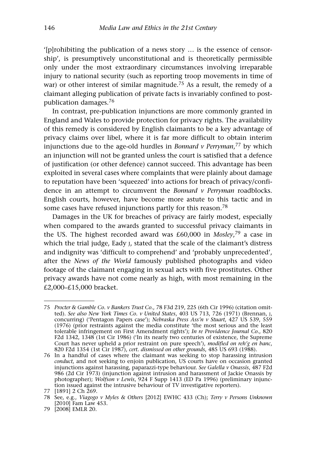**'[p]rohibiting the publication of a news story … is the essence of censorship', is presumptively unconstitutional and is theoretically permissible only under the most extraordinary circumstances involving irreparable injury to national security (such as reporting troop movements in time of war) or other interest of similar magnitude.<sup>75</sup> As a result, the remedy of a claimant alleging publication of private facts is invariably confined to postpublication damages.<sup>76</sup>**

**In contrast, pre-publication injunctions are more commonly granted in England and Wales to provide protection for privacy rights. The availability of this remedy is considered by English claimants to be a key advantage of privacy claims over libel, where it is far more difficult to obtain interim injunctions due to the age-old hurdles in** *Bonnard v Perryman***, <sup>77</sup> by which an injunction will not be granted unless the court is satisfied that a defence of justification (or other defence) cannot succeed. This advantage has been exploited in several cases where complaints that were plainly about damage to reputation have been 'squeezed' into actions for breach of privacy/confidence in an attempt to circumvent the** *Bonnard v Perryman* **roadblocks. English courts, however, have become more astute to this tactic and in some cases have refused injunctions partly for this reason.78**

**Damages in the UK for breaches of privacy are fairly modest, especially when compared to the awards granted to successful privacy claimants in the US. The highest recorded award was £60,000 in** *Mosley***, <sup>79</sup> a case in which the trial judge, Eady J, stated that the scale of the claimant's distress and indignity was 'difficult to comprehend' and 'probably unprecedented', after the** *News of the World* **famously published photographs and video footage of the claimant engaging in sexual acts with five prostitutes. Other privacy awards have not come nearly as high, with most remaining in the £2,000–£15,000 bracket.**

**<sup>75</sup>** *Procter & Gamble Co. v Bankers Trust Co.***, 78 F3d 219, 225 (6th Cir 1996) (citation omitted).** *See also New York Times Co. v United States***, 403 US 713, 726 (1971) (Brennan, J, concurring) ('Pentagon Papers case');** *Nebraska Press Ass'n v Stuart***, 427 US 539, 559 (1976) (prior restraints against the media constitute 'the most serious and the least tolerable infringement on First Amendment rights');** *In re Providence Journal Co.***, 820 F2d 1342, 1348 (1st Cir 1986) ('In its nearly two centuries of existence, the Supreme Court has never upheld a prior restraint on pure speech'),** *modified on reh'g en banc***, 820 F2d 1354 (1st Cir 1987),** *cert. dismissed on other grounds***, 485 US 693 (1988).**

**<sup>76</sup> In a handful of cases where the claimant was seeking to stop harassing intrusion** *conduct***, and not seeking to enjoin publication, US courts have on occasion granted injunctions against harassing, paparazzi-type behaviour.** *See Galella v Onassis***, 487 F2d 986 (2d Cir 1973) (injunction against intrusion and harassment of Jackie Onassis by photographer);** *Wolfson v Lewis***, 924 F Supp 1413 (ED Pa 1996) (preliminary injunction issued against the intrusive behaviour of TV investigative reporters).**

**<sup>77</sup> [1891] 2 Ch 269.**

**<sup>78</sup> See, e.g.,** *Viagogo v Myles & Others* **[2012] EWHC 433 (Ch);** *Terry v Persons Unknown* **[2010] Fam Law 453.**

**<sup>79 [2008]</sup> EMLR 20.**